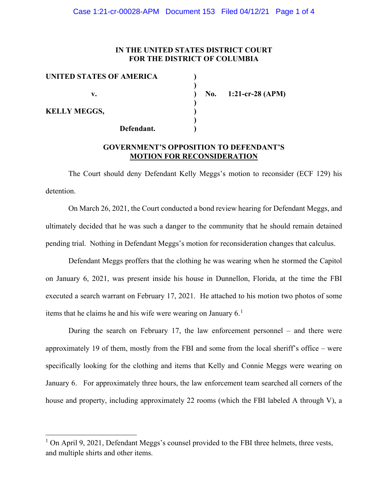### **IN THE UNITED STATES DISTRICT COURT FOR THE DISTRICT OF COLUMBIA**

| UNITED STATES OF AMERICA |  |
|--------------------------|--|
|                          |  |
| v.                       |  |
|                          |  |
| <b>KELLY MEGGS,</b>      |  |
|                          |  |
| Defendant.               |  |

**v. ) No. 1:21-cr-28 (APM)**

## **GOVERNMENT'S OPPOSITION TO DEFENDANT'S MOTION FOR RECONSIDERATION**

The Court should deny Defendant Kelly Meggs's motion to reconsider (ECF 129) his detention.

On March 26, 2021, the Court conducted a bond review hearing for Defendant Meggs, and ultimately decided that he was such a danger to the community that he should remain detained pending trial. Nothing in Defendant Meggs's motion for reconsideration changes that calculus.

Defendant Meggs proffers that the clothing he was wearing when he stormed the Capitol on January 6, 2021, was present inside his house in Dunnellon, Florida, at the time the FBI executed a search warrant on February 17, 2021. He attached to his motion two photos of some items that he claims he and his wife were wearing on January  $6<sup>1</sup>$ 

During the search on February 17, the law enforcement personnel – and there were approximately 19 of them, mostly from the FBI and some from the local sheriff's office – were specifically looking for the clothing and items that Kelly and Connie Meggs were wearing on January 6. For approximately three hours, the law enforcement team searched all corners of the house and property, including approximately 22 rooms (which the FBI labeled A through V), a

 $1$  On April 9, 2021, Defendant Meggs's counsel provided to the FBI three helmets, three vests, and multiple shirts and other items.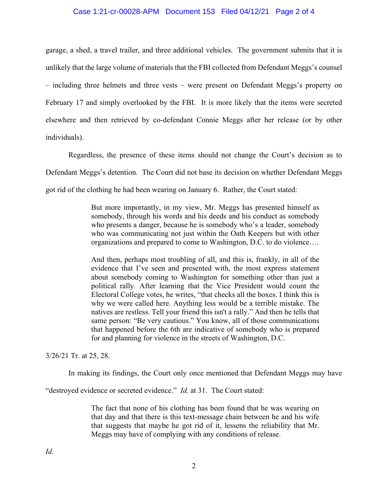#### Case 1:21-cr-00028-APM Document 153 Filed 04/12/21 Page 2 of 4

garage, a shed, a travel trailer, and three additional vehicles. The government submits that it is unlikely that the large volume of materials that the FBI collected from Defendant Meggs's counsel – including three helmets and three vests – were present on Defendant Meggs's property on February 17 and simply overlooked by the FBI. It is more likely that the items were secreted elsewhere and then retrieved by co-defendant Connie Meggs after her release (or by other individuals).

Regardless, the presence of these items should not change the Court's decision as to Defendant Meggs's detention. The Court did not base its decision on whether Defendant Meggs got rid of the clothing he had been wearing on January 6. Rather, the Court stated:

> But more importantly, in my view, Mr. Meggs has presented himself as somebody, through his words and his deeds and his conduct as somebody who presents a danger, because he is somebody who's a leader, somebody who was communicating not just within the Oath Keepers but with other organizations and prepared to come to Washington, D.C. to do violence….

> And then, perhaps most troubling of all, and this is, frankly, in all of the evidence that I've seen and presented with, the most express statement about somebody coming to Washington for something other than just a political rally. After learning that the Vice President would count the Electoral College votes, he writes, "that checks all the boxes. I think this is why we were called here. Anything less would be a terrible mistake. The natives are restless. Tell your friend this isn't a rally." And then he tells that same person: "Be very cautious." You know, all of those communications that happened before the 6th are indicative of somebody who is prepared for and planning for violence in the streets of Washington, D.C.

3/26/21 Tr. at 25, 28.

In making its findings, the Court only once mentioned that Defendant Meggs may have

"destroyed evidence or secreted evidence." *Id.* at 31. The Court stated:

The fact that none of his clothing has been found that he was wearing on that day and that there is this text-message chain between he and his wife that suggests that maybe he got rid of it, lessens the reliability that Mr. Meggs may have of complying with any conditions of release.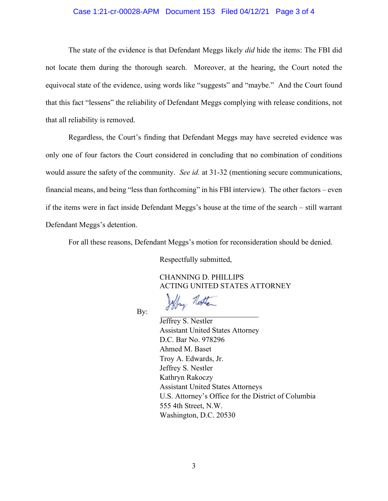#### Case 1:21-cr-00028-APM Document 153 Filed 04/12/21 Page 3 of 4

The state of the evidence is that Defendant Meggs likely *did* hide the items: The FBI did not locate them during the thorough search. Moreover, at the hearing, the Court noted the equivocal state of the evidence, using words like "suggests" and "maybe." And the Court found that this fact "lessens" the reliability of Defendant Meggs complying with release conditions, not that all reliability is removed.

Regardless, the Court's finding that Defendant Meggs may have secreted evidence was only one of four factors the Court considered in concluding that no combination of conditions would assure the safety of the community. *See id.* at 31-32 (mentioning secure communications, financial means, and being "less than forthcoming" in his FBI interview). The other factors – even if the items were in fact inside Defendant Meggs's house at the time of the search – still warrant Defendant Meggs's detention.

For all these reasons, Defendant Meggs's motion for reconsideration should be denied.

Respectfully submitted,

Jeffry North

 CHANNING D. PHILLIPS ACTING UNITED STATES ATTORNEY

By:

Jeffrey S. Nestler Assistant United States Attorney D.C. Bar No. 978296 Ahmed M. Baset Troy A. Edwards, Jr. Jeffrey S. Nestler Kathryn Rakoczy Assistant United States Attorneys U.S. Attorney's Office for the District of Columbia 555 4th Street, N.W. Washington, D.C. 20530